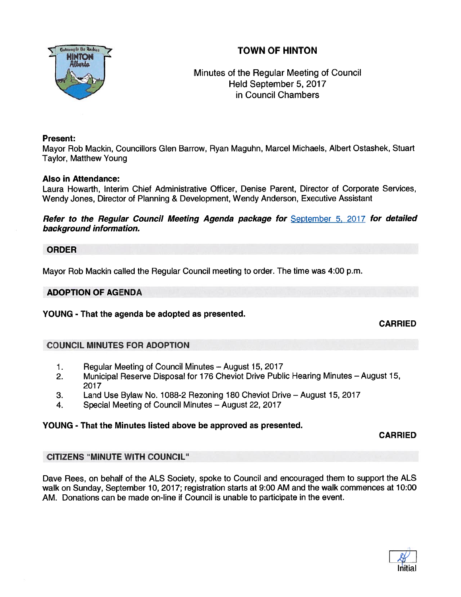# TOWN OF HINTON



# Minutes of the Regular Meeting of Council Held September 5, 2017 in Council Chambers

## Present:

Mayor Rob Mackin, Councillors Glen Barrow, Ryan Maguhn, Marcel Michaels, Albert Ostashek, Stuart Taylor, Matthew Young

# Also in Attendance:

Laura Howarth, Interim Chief Administrative Officer, Denise Parent, Director of Corporate Services, Wendy Jones, Director of Planning & Development, Wendy Anderson, Executive Assistant

Refer to the Regular Council Meeting Agenda package for September 5, 2017 for detailed background information.

## ORDER

Mayor Rob Mackin called the Regular Council meeting to order. The time was 4:00 p.m.

## ADOPTION OF AGENDA

YOUNG - That the agenda be adopted as presented.

CARRIED

# COUNCIL MINUTES FOR ADOPTION

- 1. Regular Meeting of Council Minutes August 15, 2017
- 2. Municipal Reserve Disposal for 176 Cheviot Drive Public Hearing Minutes August 15, 2017
- 3. Land Use Bylaw No. 1088-2 Rezoning 180 Cheviot Drive August 15, 2017
- 4. Special Meeting of Council Minutes August 22, 2017

# YOUNG - That the Minutes listed above be approved as presented.

CARRIED

# CITIZENS "MINUTE WITH COUNCIL"

Dave Rees, on behalf of the ALS Society, spoke to Council and encouraged them to suppor<sup>t</sup> the ALS walk on Sunday, September 10, 2017; registration starts at 9:00 AM and the walk commences at 10:00 AM. Donations can be made on-line if Council is unable to participate in the event.

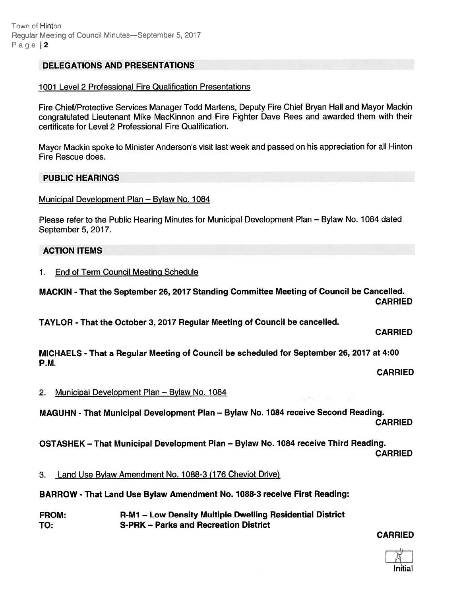## DELEGATIONS AND PRESENTATIONS

#### 1001 Level 2 Professional Fire Qualification Presentations

Fire Chief/Protective Services Manager Todd Martens, Deputy Fire Chief Bryan Hall and Mayor Mackin congratulated Lieutenant Mike MacKinnon and Fire Fighter Dave Rees and awarded them with their certificate for Level 2 Professional Fire Qualification.

Mayor Mackin spoke to Minister Anderson's visit last week and passed on his appreciation for all Hinton Fire Rescue does.

#### PUBLIC HEARINGS

Municipal Development Plan — Bylaw No. 1084

Please refer to the Public Hearing Minutes for Municipal Development Plan — Bylaw No. 1084 dated September 5, 2017.

## ACTION ITEMS

1. End of Term Council Meeting Schedule

MACKIN - That the September 26, 2017 Standing Committee Meeting of Council be Cancelled. CARRIED

TAYLOR - That the October 3, 2017 Regular Meeting of Council be cancelled.

# CARRIED

MICHAELS - That <sup>a</sup> Regular Meeting of Council be scheduled for September 26, 2017 at 4:00 P.M.

CARRIED

2. Municipal Development Plan — Bylaw No. 1084

MAGUHN - That Municipal Development Plan — Bylaw No. 1084 receive Second Reading. CARRIED

OSTASHEK — That Municipal Development Plan — Bylaw No. 1084 receive Third Reading. CARRIED

3. Land Use Bylaw Amendment No. 1088-3 (176 Cheviot Drive)

BARROW - That Land Use Bylaw Amendment No. 1088-3 receive First Reading:

FROM: R-M1 — Low Density Multiple Dwelling Residential District TO: S-PRK — Parks and Recreation District

CARRIED

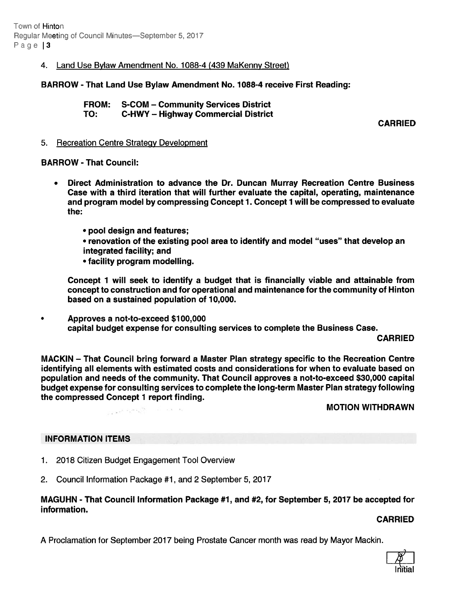Town of Hinton Regular Meeting of Council Minutes—September 5, 2017 Page | 3

## 4. Land Use Bylaw Amendment No. 1088-4 (439 MaKenny Street)

BARROW -That Land Use Bylaw Amendment No. 1088-4 receive First Reading:

FROM: S-COM — Community Services District TO: C-HWY — Highway Commercial District

CARRIED

#### 5. Recreation Centre Strategy Development

#### BARROW - That Council:

- • Direct Administration to advance the Dr. Duncan Murray Recreation Centre Business Case with <sup>a</sup> third iteration that will further evaluate the capital, operating, maintenance and program model by compressing Concept 1. Concept 1 will be compressed to evaluate the:
	- pool design and features;
	- renovation of the existing pool area to identify and model "uses" that develop an integrated facility; and
	- facility program modelling.

Concept 1 will seek to identify <sup>a</sup> budget that is financially viable and attainable from concep<sup>t</sup> to construction and for operational and maintenance for the community of Hinton based on a sustained population of 10,000.

 $\bullet$ Approves <sup>a</sup> not-to-exceed \$100,000 capital budget expense for consulting services to complete the Business Case.

CARRIED

MACKIN — That Council bring forward <sup>a</sup> Master Plan strategy specific to the Recreation Centre identifying all elements with estimated costs and considerations for when to evaluate based on population and needs of the community. That Council approves <sup>a</sup> not-to-exceed \$30,000 capital budget expense for consulting services to complete the long-term Master Plan strategy following the compressed Concept 1 repor<sup>t</sup> finding.

MOTION WITHDRAWN

#### INFORMATION ITEMS

- 1. 2018 Citizen Budget Engagement Tool Overview
- 2. Council Information Package #1, and 2 September 5, 2017

# MAGUHN - That Council Information Package #1, and #2, for September 5, 2017 be accepted for information.

#### CARRIED

A Proclamation for September 2017 being Prostate Cancer month was read by Mayor Mackin.